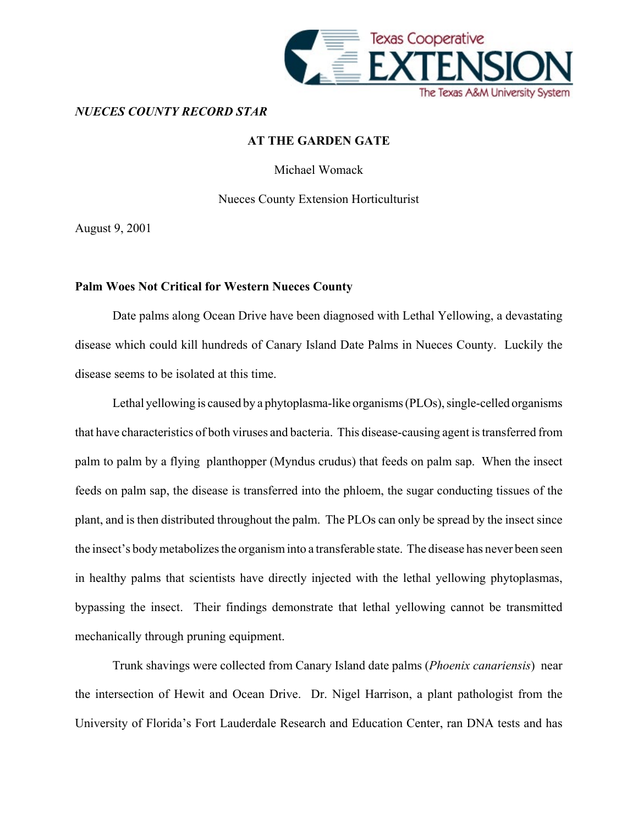

### *NUECES COUNTY RECORD STAR*

# **AT THE GARDEN GATE**

Michael Womack

### Nueces County Extension Horticulturist

August 9, 2001

# **Palm Woes Not Critical for Western Nueces County**

Date palms along Ocean Drive have been diagnosed with Lethal Yellowing, a devastating disease which could kill hundreds of Canary Island Date Palms in Nueces County. Luckily the disease seems to be isolated at this time.

Lethal yellowing is caused by a phytoplasma-like organisms (PLOs), single-celled organisms that have characteristics of both viruses and bacteria. This disease-causing agent is transferred from palm to palm by a flying planthopper (Myndus crudus) that feeds on palm sap. When the insect feeds on palm sap, the disease is transferred into the phloem, the sugar conducting tissues of the plant, and is then distributed throughout the palm. The PLOs can only be spread by the insect since the insect's body metabolizes the organism into a transferable state. The disease has never been seen in healthy palms that scientists have directly injected with the lethal yellowing phytoplasmas, bypassing the insect. Their findings demonstrate that lethal yellowing cannot be transmitted mechanically through pruning equipment.

Trunk shavings were collected from Canary Island date palms (*Phoenix canariensis*) near the intersection of Hewit and Ocean Drive. Dr. Nigel Harrison, a plant pathologist from the University of Florida's Fort Lauderdale Research and Education Center, ran DNA tests and has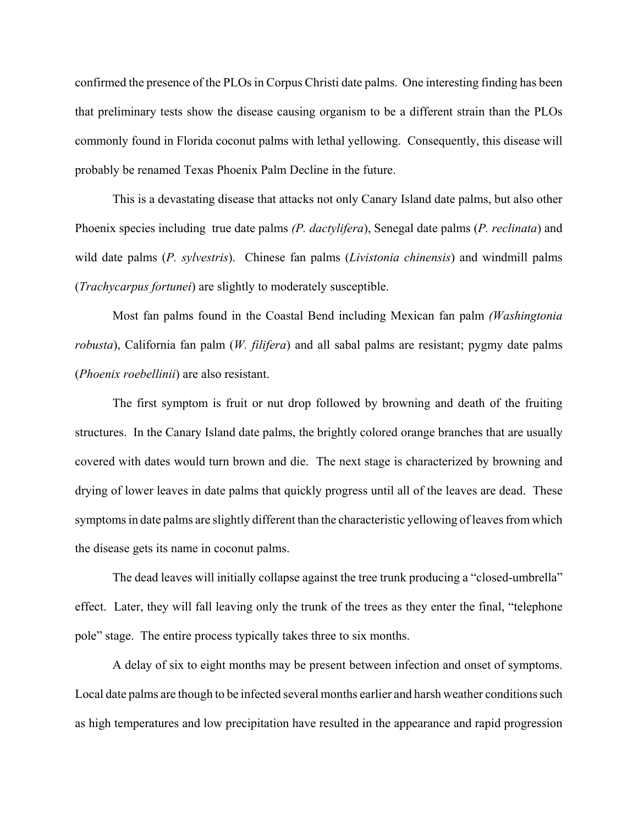confirmed the presence of the PLOs in Corpus Christi date palms. One interesting finding has been that preliminary tests show the disease causing organism to be a different strain than the PLOs commonly found in Florida coconut palms with lethal yellowing. Consequently, this disease will probably be renamed Texas Phoenix Palm Decline in the future.

This is a devastating disease that attacks not only Canary Island date palms, but also other Phoenix species including true date palms *(P. dactylifera*), Senegal date palms (*P. reclinata*) and wild date palms (*P. sylvestris*). Chinese fan palms (*Livistonia chinensis*) and windmill palms (*Trachycarpus fortunei*) are slightly to moderately susceptible.

Most fan palms found in the Coastal Bend including Mexican fan palm *(Washingtonia robusta*), California fan palm (*W. filifera*) and all sabal palms are resistant; pygmy date palms (*Phoenix roebellinii*) are also resistant.

The first symptom is fruit or nut drop followed by browning and death of the fruiting structures. In the Canary Island date palms, the brightly colored orange branches that are usually covered with dates would turn brown and die. The next stage is characterized by browning and drying of lower leaves in date palms that quickly progress until all of the leaves are dead. These symptoms in date palms are slightly different than the characteristic yellowing of leaves from which the disease gets its name in coconut palms.

The dead leaves will initially collapse against the tree trunk producing a "closed-umbrella" effect. Later, they will fall leaving only the trunk of the trees as they enter the final, "telephone pole" stage. The entire process typically takes three to six months.

A delay of six to eight months may be present between infection and onset of symptoms. Local date palms are though to be infected several months earlier and harsh weather conditions such as high temperatures and low precipitation have resulted in the appearance and rapid progression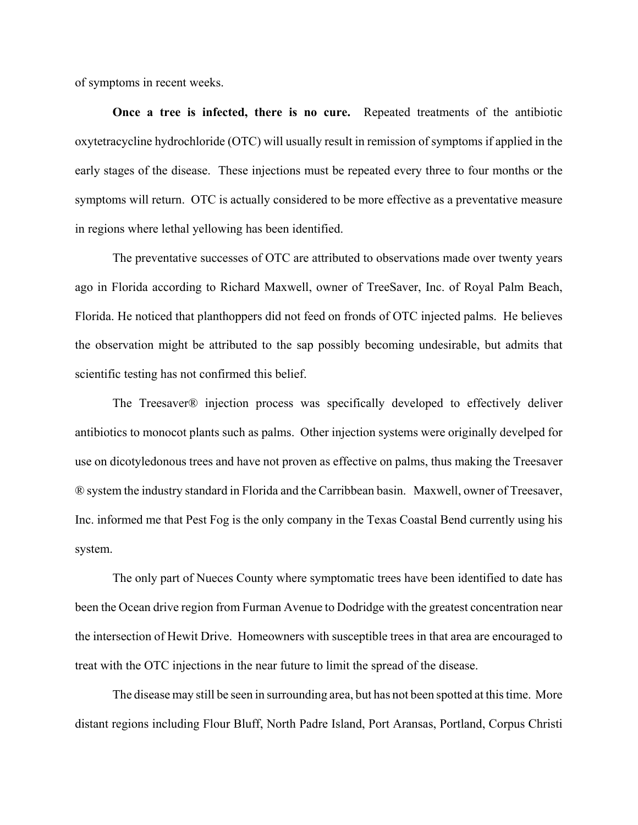of symptoms in recent weeks.

**Once a tree is infected, there is no cure.** Repeated treatments of the antibiotic oxytetracycline hydrochloride (OTC) will usually result in remission of symptoms if applied in the early stages of the disease. These injections must be repeated every three to four months or the symptoms will return. OTC is actually considered to be more effective as a preventative measure in regions where lethal yellowing has been identified.

The preventative successes of OTC are attributed to observations made over twenty years ago in Florida according to Richard Maxwell, owner of TreeSaver, Inc. of Royal Palm Beach, Florida. He noticed that planthoppers did not feed on fronds of OTC injected palms. He believes the observation might be attributed to the sap possibly becoming undesirable, but admits that scientific testing has not confirmed this belief.

The Treesaver® injection process was specifically developed to effectively deliver antibiotics to monocot plants such as palms. Other injection systems were originally develped for use on dicotyledonous trees and have not proven as effective on palms, thus making the Treesaver ® system the industry standard in Florida and the Carribbean basin. Maxwell, owner of Treesaver, Inc. informed me that Pest Fog is the only company in the Texas Coastal Bend currently using his system.

The only part of Nueces County where symptomatic trees have been identified to date has been the Ocean drive region from Furman Avenue to Dodridge with the greatest concentration near the intersection of Hewit Drive. Homeowners with susceptible trees in that area are encouraged to treat with the OTC injections in the near future to limit the spread of the disease.

The disease may still be seen in surrounding area, but has not been spotted at this time. More distant regions including Flour Bluff, North Padre Island, Port Aransas, Portland, Corpus Christi